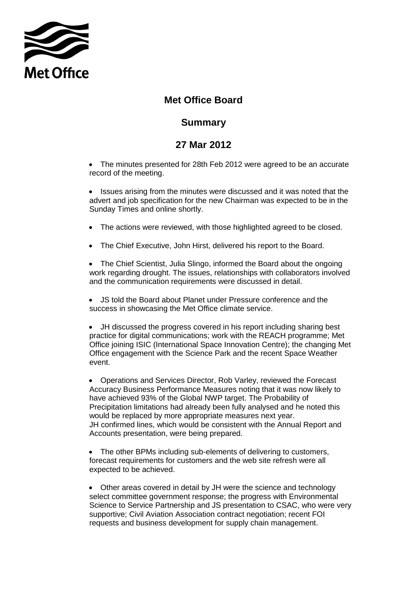

## **Met Office Board**

## **Summary**

## **27 Mar 2012**

• The minutes presented for 28th Feb 2012 were agreed to be an accurate record of the meeting.

• Issues arising from the minutes were discussed and it was noted that the advert and job specification for the new Chairman was expected to be in the Sunday Times and online shortly.

- The actions were reviewed, with those highlighted agreed to be closed.
- The Chief Executive, John Hirst, delivered his report to the Board.

 The Chief Scientist, Julia Slingo, informed the Board about the ongoing work regarding drought. The issues, relationships with collaborators involved and the communication requirements were discussed in detail.

 JS told the Board about Planet under Pressure conference and the success in showcasing the Met Office climate service.

 JH discussed the progress covered in his report including sharing best practice for digital communications; work with the REACH programme; Met Office joining ISIC (International Space Innovation Centre); the changing Met Office engagement with the Science Park and the recent Space Weather event.

 Operations and Services Director, Rob Varley, reviewed the Forecast Accuracy Business Performance Measures noting that it was now likely to have achieved 93% of the Global NWP target. The Probability of Precipitation limitations had already been fully analysed and he noted this would be replaced by more appropriate measures next year. JH confirmed lines, which would be consistent with the Annual Report and Accounts presentation, were being prepared.

 The other BPMs including sub-elements of delivering to customers, forecast requirements for customers and the web site refresh were all expected to be achieved.

 Other areas covered in detail by JH were the science and technology select committee government response; the progress with Environmental Science to Service Partnership and JS presentation to CSAC, who were very supportive; Civil Aviation Association contract negotiation; recent FOI requests and business development for supply chain management.